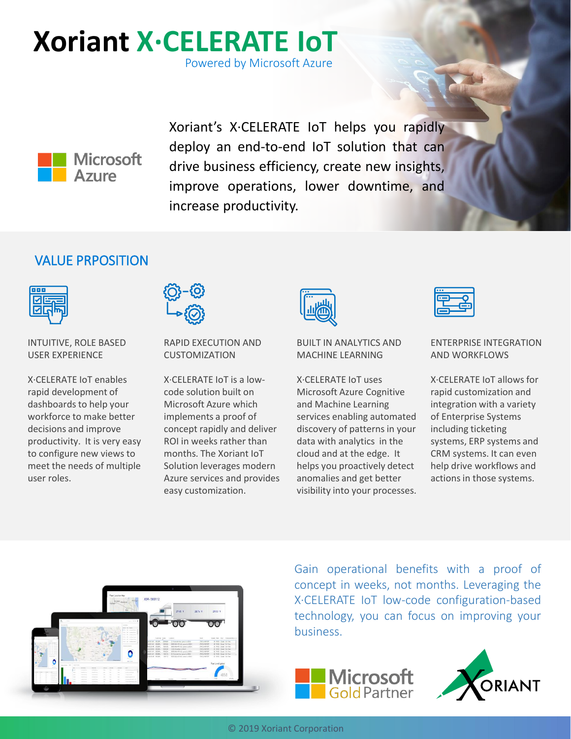# **Xoriant X·CELERATE IoT**

Powered by Microsoft Azure



Xoriant's X·CELERATE IoT helps you rapidly deploy an end-to-end IoT solution that can drive business efficiency, create new insights, improve operations, lower downtime, and increase productivity.

## VALUE PRPOSITION



INTUITIVE, ROLE BASED USER EXPERIENCE

X·CELERATE IoT enables rapid development of dashboards to help your workforce to make better decisions and improve productivity. It is very easy to configure new views to meet the needs of multiple user roles.



RAPID EXECUTION AND CUSTOMIZATION

X·CELERATE IoT is a lowcode solution built on Microsoft Azure which implements a proof of concept rapidly and deliver ROI in weeks rather than months. The Xoriant IoT Solution leverages modern Azure services and provides easy customization.



#### BUILT IN ANALYTICS AND MACHINE LEARNING

X·CELERATE IoT uses Microsoft Azure Cognitive and Machine Learning services enabling automated discovery of patterns in your data with analytics in the cloud and at the edge. It helps you proactively detect anomalies and get better visibility into your processes.



#### ENTERPRISE INTEGRATION AND WORKFLOWS

X·CELERATE IoT allows for rapid customization and integration with a variety of Enterprise Systems including ticketing systems, ERP systems and CRM systems. It can even help drive workflows and actions in those systems.



Gain operational benefits with a proof of concept in weeks, not months. Leveraging the X·CELERATE IoT low-code configuration-based technology, you can focus on improving your business.